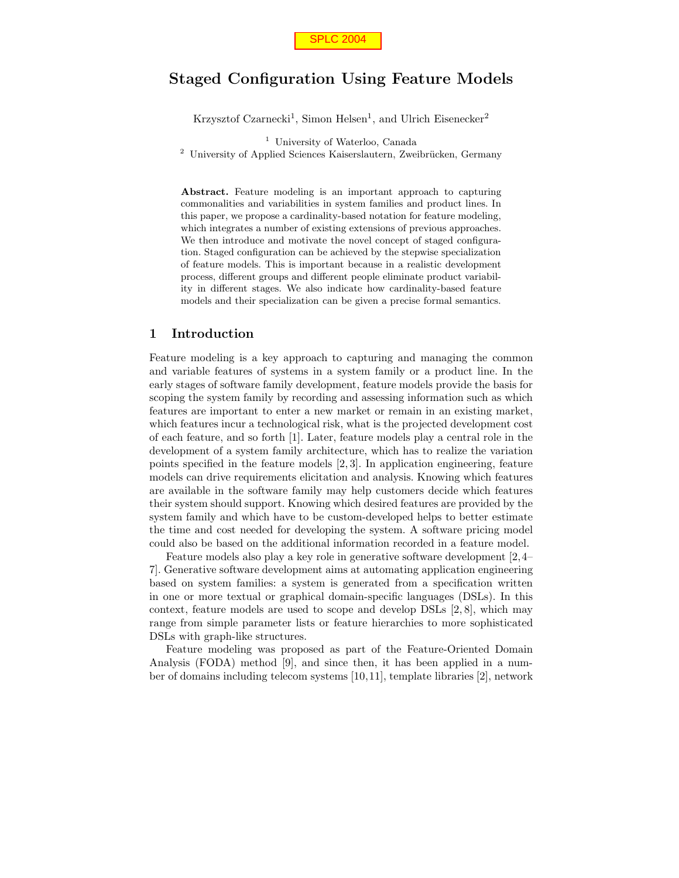

# **Staged Configuration Using Feature Models**

Krzysztof Czarnecki<sup>1</sup>, Simon Helsen<sup>1</sup>, and Ulrich Eisenecker<sup>2</sup>

<sup>1</sup> University of Waterloo, Canada

 $2$  University of Applied Sciences Kaiserslautern, Zweibrücken, Germany

**Abstract.** Feature modeling is an important approach to capturing commonalities and variabilities in system families and product lines. In this paper, we propose a cardinality-based notation for feature modeling, which integrates a number of existing extensions of previous approaches. We then introduce and motivate the novel concept of staged configuration. Staged configuration can be achieved by the stepwise specialization of feature models. This is important because in a realistic development process, different groups and different people eliminate product variability in different stages. We also indicate how cardinality-based feature models and their specialization can be given a precise formal semantics.

#### **1 Introduction**

Feature modeling is a key approach to capturing and managing the common and variable features of systems in a system family or a product line. In the early stages of software family development, feature models provide the basis for scoping the system family by recording and assessing information such as which features are important to enter a new market or remain in an existing market, which features incur a technological risk, what is the projected development cost of each feature, and so forth [1]. Later, feature models play a central role in the development of a system family architecture, which has to realize the variation points specified in the feature models [2, 3]. In application engineering, feature models can drive requirements elicitation and analysis. Knowing which features are available in the software family may help customers decide which features their system should support. Knowing which desired features are provided by the system family and which have to be custom-developed helps to better estimate the time and cost needed for developing the system. A software pricing model could also be based on the additional information recorded in a feature model.

Feature models also play a key role in generative software development [2,4– 7]. Generative software development aims at automating application engineering based on system families: a system is generated from a specification written in one or more textual or graphical domain-specific languages (DSLs). In this context, feature models are used to scope and develop DSLs [2, 8], which may range from simple parameter lists or feature hierarchies to more sophisticated DSLs with graph-like structures.

Feature modeling was proposed as part of the Feature-Oriented Domain Analysis (FODA) method [9], and since then, it has been applied in a number of domains including telecom systems [10,11], template libraries [2], network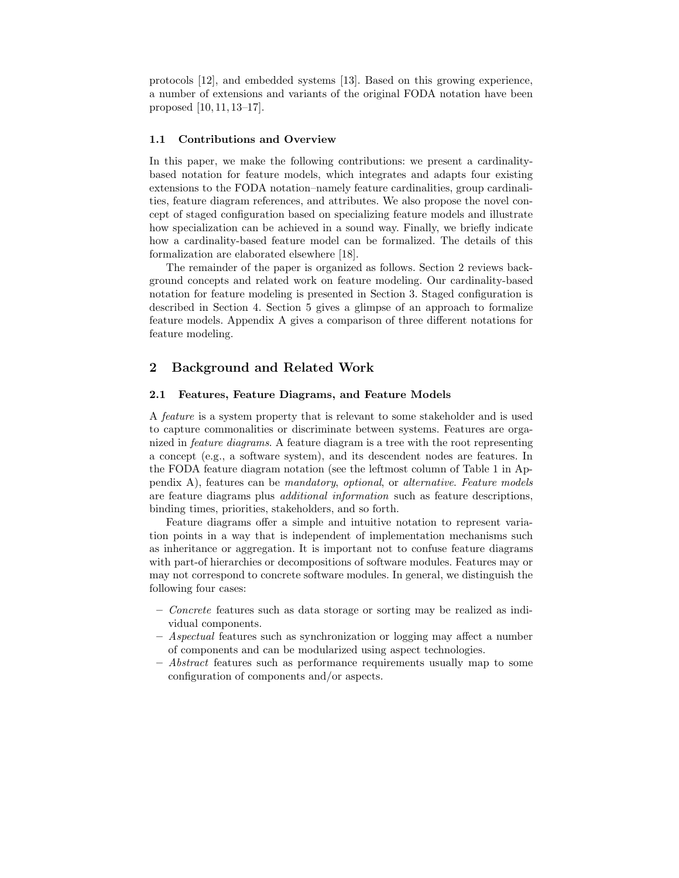protocols [12], and embedded systems [13]. Based on this growing experience, a number of extensions and variants of the original FODA notation have been proposed [10, 11, 13–17].

#### **1.1 Contributions and Overview**

In this paper, we make the following contributions: we present a cardinalitybased notation for feature models, which integrates and adapts four existing extensions to the FODA notation–namely feature cardinalities, group cardinalities, feature diagram references, and attributes. We also propose the novel concept of staged configuration based on specializing feature models and illustrate how specialization can be achieved in a sound way. Finally, we briefly indicate how a cardinality-based feature model can be formalized. The details of this formalization are elaborated elsewhere [18].

The remainder of the paper is organized as follows. Section 2 reviews background concepts and related work on feature modeling. Our cardinality-based notation for feature modeling is presented in Section 3. Staged configuration is described in Section 4. Section 5 gives a glimpse of an approach to formalize feature models. Appendix A gives a comparison of three different notations for feature modeling.

# **2 Background and Related Work**

#### **2.1 Features, Feature Diagrams, and Feature Models**

A *feature* is a system property that is relevant to some stakeholder and is used to capture commonalities or discriminate between systems. Features are organized in *feature diagrams*. A feature diagram is a tree with the root representing a concept (e.g., a software system), and its descendent nodes are features. In the FODA feature diagram notation (see the leftmost column of Table 1 in Appendix A), features can be *mandatory*, *optional*, or *alternative*. *Feature models* are feature diagrams plus *additional information* such as feature descriptions, binding times, priorities, stakeholders, and so forth.

Feature diagrams offer a simple and intuitive notation to represent variation points in a way that is independent of implementation mechanisms such as inheritance or aggregation. It is important not to confuse feature diagrams with part-of hierarchies or decompositions of software modules. Features may or may not correspond to concrete software modules. In general, we distinguish the following four cases:

- **–** *Concrete* features such as data storage or sorting may be realized as individual components.
- **–** *Aspectual* features such as synchronization or logging may affect a number of components and can be modularized using aspect technologies.
- **–** *Abstract* features such as performance requirements usually map to some configuration of components and/or aspects.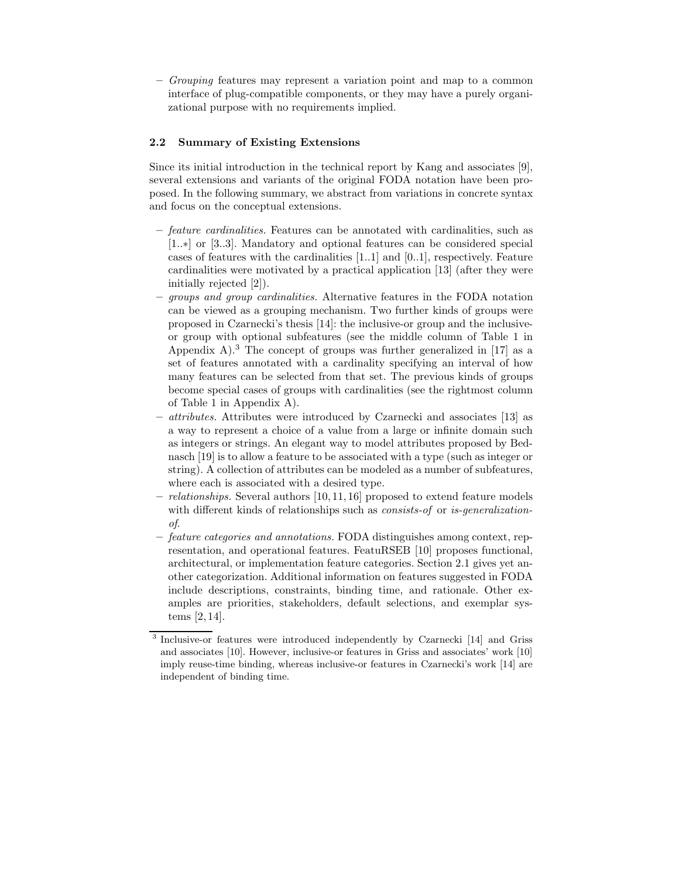**–** *Grouping* features may represent a variation point and map to a common interface of plug-compatible components, or they may have a purely organizational purpose with no requirements implied.

### **2.2 Summary of Existing Extensions**

Since its initial introduction in the technical report by Kang and associates [9], several extensions and variants of the original FODA notation have been proposed. In the following summary, we abstract from variations in concrete syntax and focus on the conceptual extensions.

- **–** *feature cardinalities.* Features can be annotated with cardinalities, such as [1..∗] or [3..3]. Mandatory and optional features can be considered special cases of features with the cardinalities [1..1] and [0..1], respectively. Feature cardinalities were motivated by a practical application [13] (after they were initially rejected [2]).
- **–** *groups and group cardinalities.* Alternative features in the FODA notation can be viewed as a grouping mechanism. Two further kinds of groups were proposed in Czarnecki's thesis [14]: the inclusive-or group and the inclusiveor group with optional subfeatures (see the middle column of Table 1 in Appendix A).<sup>3</sup> The concept of groups was further generalized in [17] as a set of features annotated with a cardinality specifying an interval of how many features can be selected from that set. The previous kinds of groups become special cases of groups with cardinalities (see the rightmost column of Table 1 in Appendix A).
- **–** *attributes.* Attributes were introduced by Czarnecki and associates [13] as a way to represent a choice of a value from a large or infinite domain such as integers or strings. An elegant way to model attributes proposed by Bednasch [19] is to allow a feature to be associated with a type (such as integer or string). A collection of attributes can be modeled as a number of subfeatures, where each is associated with a desired type.
- **–** *relationships.* Several authors [10, 11, 16] proposed to extend feature models with different kinds of relationships such as *consists-of* or *is-generalizationof*.
- **–** *feature categories and annotations.* FODA distinguishes among context, representation, and operational features. FeatuRSEB [10] proposes functional, architectural, or implementation feature categories. Section 2.1 gives yet another categorization. Additional information on features suggested in FODA include descriptions, constraints, binding time, and rationale. Other examples are priorities, stakeholders, default selections, and exemplar systems [2, 14].

<sup>3</sup> Inclusive-or features were introduced independently by Czarnecki [14] and Griss and associates [10]. However, inclusive-or features in Griss and associates' work [10] imply reuse-time binding, whereas inclusive-or features in Czarnecki's work [14] are independent of binding time.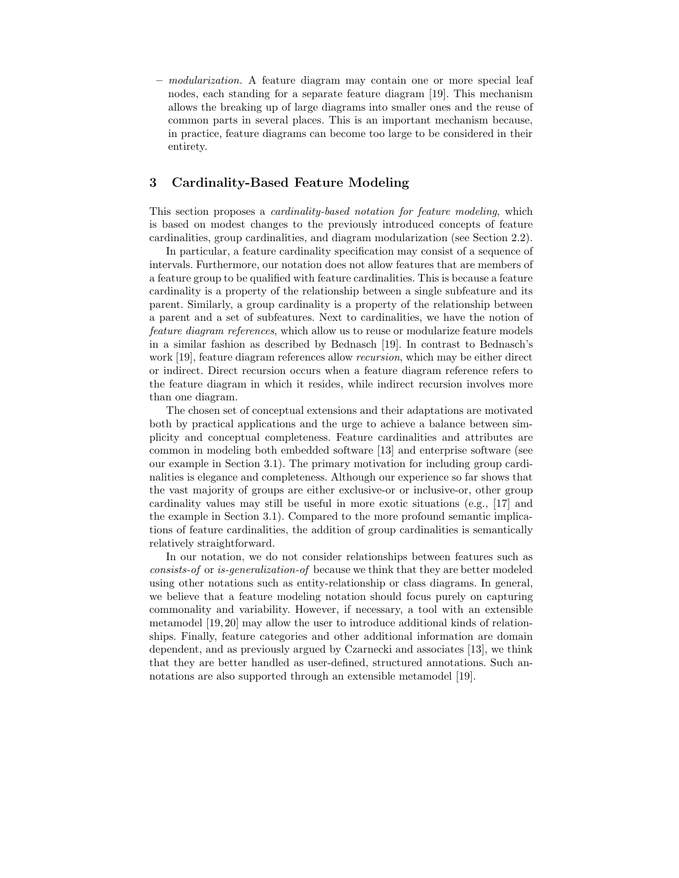**–** *modularization.* A feature diagram may contain one or more special leaf nodes, each standing for a separate feature diagram [19]. This mechanism allows the breaking up of large diagrams into smaller ones and the reuse of common parts in several places. This is an important mechanism because, in practice, feature diagrams can become too large to be considered in their entirety.

# **3 Cardinality-Based Feature Modeling**

This section proposes a *cardinality-based notation for feature modeling*, which is based on modest changes to the previously introduced concepts of feature cardinalities, group cardinalities, and diagram modularization (see Section 2.2).

In particular, a feature cardinality specification may consist of a sequence of intervals. Furthermore, our notation does not allow features that are members of a feature group to be qualified with feature cardinalities. This is because a feature cardinality is a property of the relationship between a single subfeature and its parent. Similarly, a group cardinality is a property of the relationship between a parent and a set of subfeatures. Next to cardinalities, we have the notion of *feature diagram references*, which allow us to reuse or modularize feature models in a similar fashion as described by Bednasch [19]. In contrast to Bednasch's work [19], feature diagram references allow *recursion*, which may be either direct or indirect. Direct recursion occurs when a feature diagram reference refers to the feature diagram in which it resides, while indirect recursion involves more than one diagram.

The chosen set of conceptual extensions and their adaptations are motivated both by practical applications and the urge to achieve a balance between simplicity and conceptual completeness. Feature cardinalities and attributes are common in modeling both embedded software [13] and enterprise software (see our example in Section 3.1). The primary motivation for including group cardinalities is elegance and completeness. Although our experience so far shows that the vast majority of groups are either exclusive-or or inclusive-or, other group cardinality values may still be useful in more exotic situations (e.g., [17] and the example in Section 3.1). Compared to the more profound semantic implications of feature cardinalities, the addition of group cardinalities is semantically relatively straightforward.

In our notation, we do not consider relationships between features such as *consists-of* or *is-generalization-of* because we think that they are better modeled using other notations such as entity-relationship or class diagrams. In general, we believe that a feature modeling notation should focus purely on capturing commonality and variability. However, if necessary, a tool with an extensible metamodel [19, 20] may allow the user to introduce additional kinds of relationships. Finally, feature categories and other additional information are domain dependent, and as previously argued by Czarnecki and associates [13], we think that they are better handled as user-defined, structured annotations. Such annotations are also supported through an extensible metamodel [19].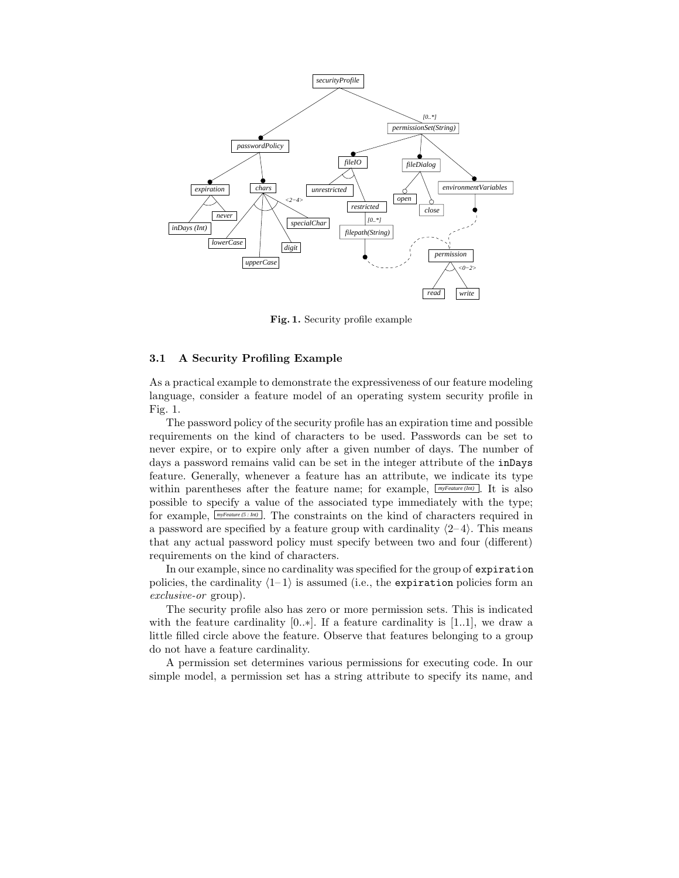

**Fig. 1.** Security profile example

#### **3.1 A Security Profiling Example**

As a practical example to demonstrate the expressiveness of our feature modeling language, consider a feature model of an operating system security profile in Fig. 1.

The password policy of the security profile has an expiration time and possible requirements on the kind of characters to be used. Passwords can be set to never expire, or to expire only after a given number of days. The number of days a password remains valid can be set in the integer attribute of the inDays feature. Generally, whenever a feature has an attribute, we indicate its type within parentheses after the feature name; for example, *myFeature (Int)*. It is also possible to specify a value of the associated type immediately with the type; for example, *myFeature (5 : Int)* . The constraints on the kind of characters required in a password are specified by a feature group with cardinality  $\langle 2-4 \rangle$ . This means that any actual password policy must specify between two and four (different) requirements on the kind of characters.

In our example, since no cardinality was specified for the group of expiration policies, the cardinality  $\langle 1-1 \rangle$  is assumed (i.e., the expiration policies form an *exclusive-or* group).

The security profile also has zero or more permission sets. This is indicated with the feature cardinality  $[0.*]$ . If a feature cardinality is  $[1..1]$ , we draw a little filled circle above the feature. Observe that features belonging to a group do not have a feature cardinality.

A permission set determines various permissions for executing code. In our simple model, a permission set has a string attribute to specify its name, and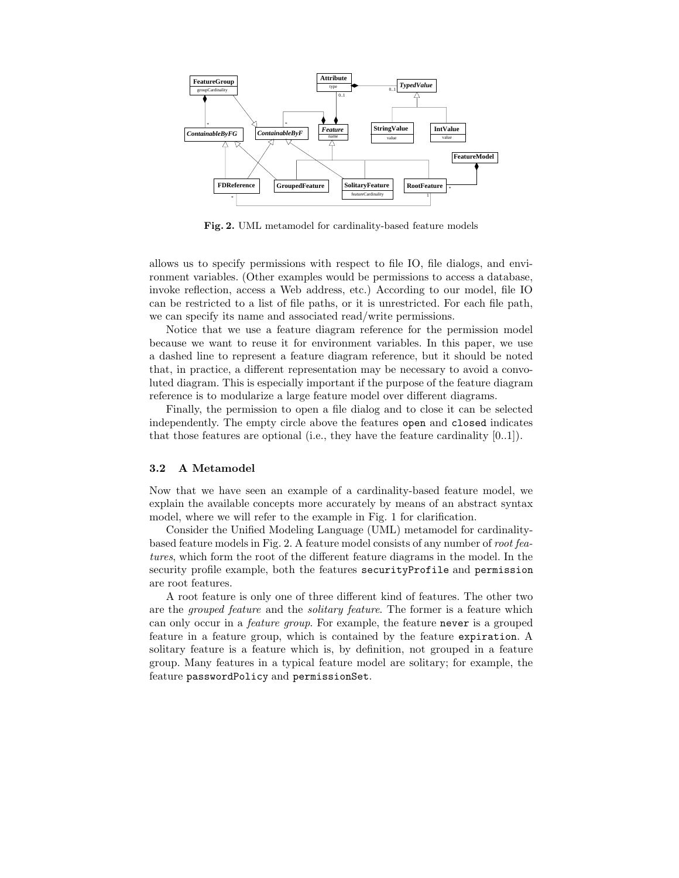

**Fig. 2.** UML metamodel for cardinality-based feature models

allows us to specify permissions with respect to file IO, file dialogs, and environment variables. (Other examples would be permissions to access a database, invoke reflection, access a Web address, etc.) According to our model, file IO can be restricted to a list of file paths, or it is unrestricted. For each file path, we can specify its name and associated read/write permissions.

Notice that we use a feature diagram reference for the permission model because we want to reuse it for environment variables. In this paper, we use a dashed line to represent a feature diagram reference, but it should be noted that, in practice, a different representation may be necessary to avoid a convoluted diagram. This is especially important if the purpose of the feature diagram reference is to modularize a large feature model over different diagrams.

Finally, the permission to open a file dialog and to close it can be selected independently. The empty circle above the features open and closed indicates that those features are optional (i.e., they have the feature cardinality [0..1]).

#### **3.2 A Metamodel**

Now that we have seen an example of a cardinality-based feature model, we explain the available concepts more accurately by means of an abstract syntax model, where we will refer to the example in Fig. 1 for clarification.

Consider the Unified Modeling Language (UML) metamodel for cardinalitybased feature models in Fig. 2. A feature model consists of any number of *root features*, which form the root of the different feature diagrams in the model. In the security profile example, both the features securityProfile and permission are root features.

A root feature is only one of three different kind of features. The other two are the *grouped feature* and the *solitary feature*. The former is a feature which can only occur in a *feature group*. For example, the feature never is a grouped feature in a feature group, which is contained by the feature expiration. A solitary feature is a feature which is, by definition, not grouped in a feature group. Many features in a typical feature model are solitary; for example, the feature passwordPolicy and permissionSet.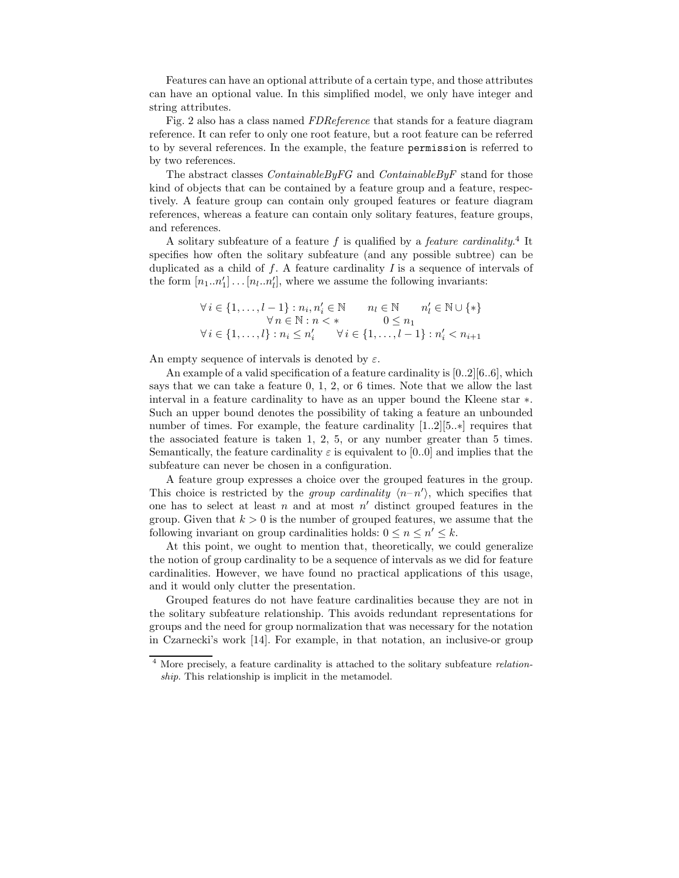Features can have an optional attribute of a certain type, and those attributes can have an optional value. In this simplified model, we only have integer and string attributes.

Fig. 2 also has a class named *FDReference* that stands for a feature diagram reference. It can refer to only one root feature, but a root feature can be referred to by several references. In the example, the feature permission is referred to by two references.

The abstract classes *ContainableByFG* and *ContainableByF* stand for those kind of objects that can be contained by a feature group and a feature, respectively. A feature group can contain only grouped features or feature diagram references, whereas a feature can contain only solitary features, feature groups, and references.

A solitary subfeature of a feature f is qualified by a *feature cardinality*. <sup>4</sup> It specifies how often the solitary subfeature (and any possible subtree) can be duplicated as a child of f. A feature cardinality *I* is a sequence of intervals of the form  $[n_1..n'_1] \dots [n_l..n'_l]$ , where we assume the following invariants:

$$
\forall i \in \{1, \ldots, l-1\} : n_i, n'_i \in \mathbb{N} \qquad n_l \in \mathbb{N} \qquad n'_l \in \mathbb{N} \cup \{*\}
$$
  
\n
$$
\forall n \in \mathbb{N} : n < * \qquad 0 \le n_1
$$
  
\n
$$
\forall i \in \{1, \ldots, l\} : n_i \le n'_i \qquad \forall i \in \{1, \ldots, l-1\} : n'_i < n_{i+1}
$$

An empty sequence of intervals is denoted by  $\varepsilon$ .

An example of a valid specification of a feature cardinality is  $[0..2][6..6]$ , which says that we can take a feature 0, 1, 2, or 6 times. Note that we allow the last interval in a feature cardinality to have as an upper bound the Kleene star ∗. Such an upper bound denotes the possibility of taking a feature an unbounded number of times. For example, the feature cardinality [1..2][5..∗] requires that the associated feature is taken 1, 2, 5, or any number greater than 5 times. Semantically, the feature cardinality  $\varepsilon$  is equivalent to [0..0] and implies that the subfeature can never be chosen in a configuration.

A feature group expresses a choice over the grouped features in the group. This choice is restricted by the *group cardinality*  $\langle n-n' \rangle$ , which specifies that one has to select at least n and at most  $n'$  distinct grouped features in the group. Given that  $k > 0$  is the number of grouped features, we assume that the following invariant on group cardinalities holds:  $0 \le n \le n' \le k$ .

At this point, we ought to mention that, theoretically, we could generalize the notion of group cardinality to be a sequence of intervals as we did for feature cardinalities. However, we have found no practical applications of this usage, and it would only clutter the presentation.

Grouped features do not have feature cardinalities because they are not in the solitary subfeature relationship. This avoids redundant representations for groups and the need for group normalization that was necessary for the notation in Czarnecki's work [14]. For example, in that notation, an inclusive-or group

<sup>4</sup> More precisely, a feature cardinality is attached to the solitary subfeature *relationship*. This relationship is implicit in the metamodel.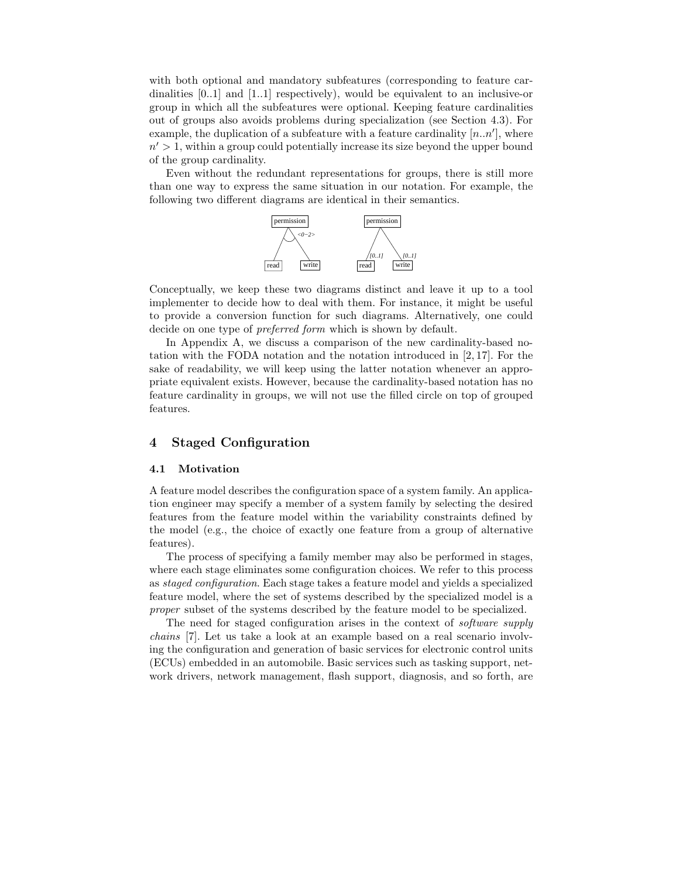with both optional and mandatory subfeatures (corresponding to feature cardinalities [0..1] and [1..1] respectively), would be equivalent to an inclusive-or group in which all the subfeatures were optional. Keeping feature cardinalities out of groups also avoids problems during specialization (see Section 4.3). For example, the duplication of a subfeature with a feature cardinality  $[n..n']$ , where  $n' > 1$ , within a group could potentially increase its size beyond the upper bound of the group cardinality.

Even without the redundant representations for groups, there is still more than one way to express the same situation in our notation. For example, the following two different diagrams are identical in their semantics.



Conceptually, we keep these two diagrams distinct and leave it up to a tool implementer to decide how to deal with them. For instance, it might be useful to provide a conversion function for such diagrams. Alternatively, one could decide on one type of *preferred form* which is shown by default.

In Appendix A, we discuss a comparison of the new cardinality-based notation with the FODA notation and the notation introduced in [2, 17]. For the sake of readability, we will keep using the latter notation whenever an appropriate equivalent exists. However, because the cardinality-based notation has no feature cardinality in groups, we will not use the filled circle on top of grouped features.

### **4 Staged Configuration**

#### **4.1 Motivation**

A feature model describes the configuration space of a system family. An application engineer may specify a member of a system family by selecting the desired features from the feature model within the variability constraints defined by the model (e.g., the choice of exactly one feature from a group of alternative features).

The process of specifying a family member may also be performed in stages, where each stage eliminates some configuration choices. We refer to this process as *staged configuration*. Each stage takes a feature model and yields a specialized feature model, where the set of systems described by the specialized model is a *proper* subset of the systems described by the feature model to be specialized.

The need for staged configuration arises in the context of *software supply chains* [7]. Let us take a look at an example based on a real scenario involving the configuration and generation of basic services for electronic control units (ECUs) embedded in an automobile. Basic services such as tasking support, network drivers, network management, flash support, diagnosis, and so forth, are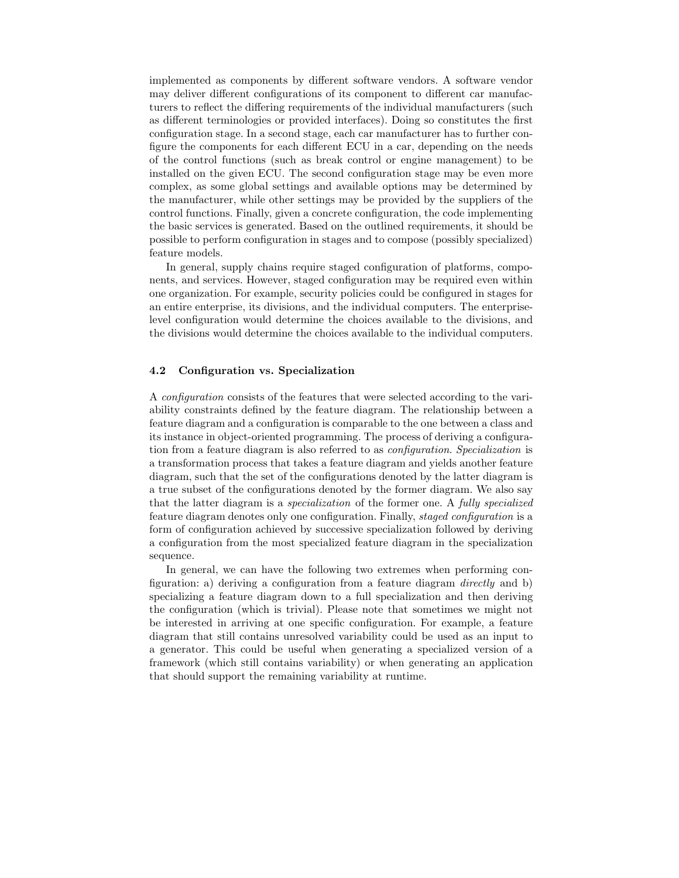implemented as components by different software vendors. A software vendor may deliver different configurations of its component to different car manufacturers to reflect the differing requirements of the individual manufacturers (such as different terminologies or provided interfaces). Doing so constitutes the first configuration stage. In a second stage, each car manufacturer has to further configure the components for each different ECU in a car, depending on the needs of the control functions (such as break control or engine management) to be installed on the given ECU. The second configuration stage may be even more complex, as some global settings and available options may be determined by the manufacturer, while other settings may be provided by the suppliers of the control functions. Finally, given a concrete configuration, the code implementing the basic services is generated. Based on the outlined requirements, it should be possible to perform configuration in stages and to compose (possibly specialized) feature models.

In general, supply chains require staged configuration of platforms, components, and services. However, staged configuration may be required even within one organization. For example, security policies could be configured in stages for an entire enterprise, its divisions, and the individual computers. The enterpriselevel configuration would determine the choices available to the divisions, and the divisions would determine the choices available to the individual computers.

#### **4.2 Configuration vs. Specialization**

A *configuration* consists of the features that were selected according to the variability constraints defined by the feature diagram. The relationship between a feature diagram and a configuration is comparable to the one between a class and its instance in object-oriented programming. The process of deriving a configuration from a feature diagram is also referred to as *configuration*. *Specialization* is a transformation process that takes a feature diagram and yields another feature diagram, such that the set of the configurations denoted by the latter diagram is a true subset of the configurations denoted by the former diagram. We also say that the latter diagram is a *specialization* of the former one. A *fully specialized* feature diagram denotes only one configuration. Finally, *staged configuration* is a form of configuration achieved by successive specialization followed by deriving a configuration from the most specialized feature diagram in the specialization sequence.

In general, we can have the following two extremes when performing configuration: a) deriving a configuration from a feature diagram *directly* and b) specializing a feature diagram down to a full specialization and then deriving the configuration (which is trivial). Please note that sometimes we might not be interested in arriving at one specific configuration. For example, a feature diagram that still contains unresolved variability could be used as an input to a generator. This could be useful when generating a specialized version of a framework (which still contains variability) or when generating an application that should support the remaining variability at runtime.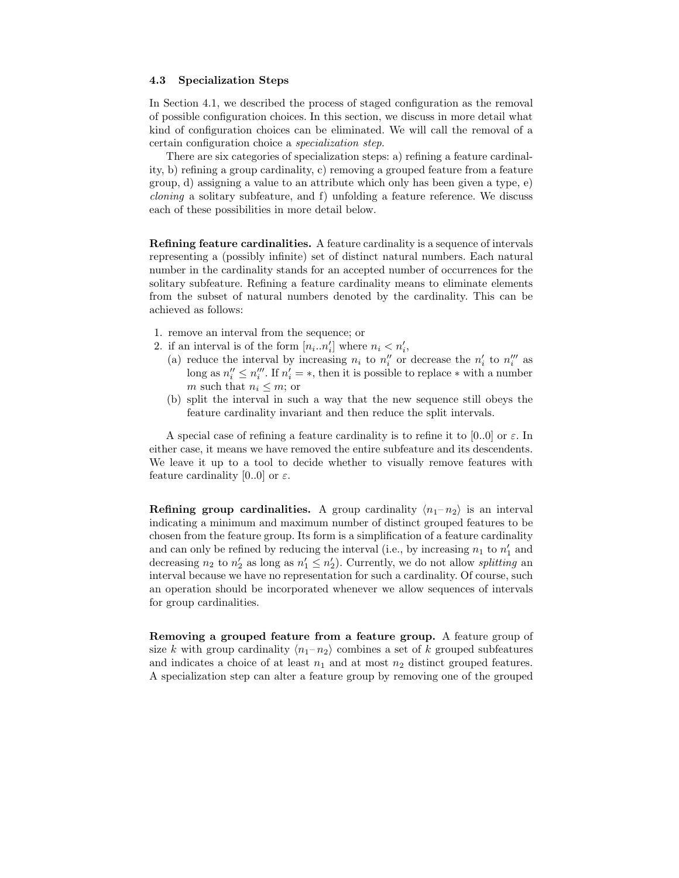#### **4.3 Specialization Steps**

In Section 4.1, we described the process of staged configuration as the removal of possible configuration choices. In this section, we discuss in more detail what kind of configuration choices can be eliminated. We will call the removal of a certain configuration choice a *specialization step*.

There are six categories of specialization steps: a) refining a feature cardinality, b) refining a group cardinality, c) removing a grouped feature from a feature group, d) assigning a value to an attribute which only has been given a type, e) *cloning* a solitary subfeature, and f) unfolding a feature reference. We discuss each of these possibilities in more detail below.

**Refining feature cardinalities.** A feature cardinality is a sequence of intervals representing a (possibly infinite) set of distinct natural numbers. Each natural number in the cardinality stands for an accepted number of occurrences for the solitary subfeature. Refining a feature cardinality means to eliminate elements from the subset of natural numbers denoted by the cardinality. This can be achieved as follows:

- 1. remove an interval from the sequence; or
- 2. if an interval is of the form  $[n_i..n'_i]$  where  $n_i < n'_i$ ,
	- (a) reduce the interval by increasing  $n_i$  to  $n''_i$  or decrease the  $n'_i$  to  $n'''_i$  as long as  $n''_i \leq n'''_i$ . If  $n'_i = *$ , then it is possible to replace  $*$  with a number m such that  $n_i \leq m$ ; or
	- (b) split the interval in such a way that the new sequence still obeys the feature cardinality invariant and then reduce the split intervals.

A special case of refining a feature cardinality is to refine it to  $[0..0]$  or  $\varepsilon$ . In either case, it means we have removed the entire subfeature and its descendents. We leave it up to a tool to decide whether to visually remove features with feature cardinality [0..0] or  $\varepsilon$ .

**Refining group cardinalities.** A group cardinality  $\langle n_1-n_2 \rangle$  is an interval indicating a minimum and maximum number of distinct grouped features to be chosen from the feature group. Its form is a simplification of a feature cardinality and can only be refined by reducing the interval (i.e., by increasing  $n_1$  to  $n'_1$  and decreasing  $n_2$  to  $n'_2$  as long as  $n'_1 \leq n'_2$ ). Currently, we do not allow *splitting* an interval because we have no representation for such a cardinality. Of course, such an operation should be incorporated whenever we allow sequences of intervals for group cardinalities.

**Removing a grouped feature from a feature group.** A feature group of size k with group cardinality  $\langle n_1-n_2 \rangle$  combines a set of k grouped subfeatures and indicates a choice of at least  $n_1$  and at most  $n_2$  distinct grouped features. A specialization step can alter a feature group by removing one of the grouped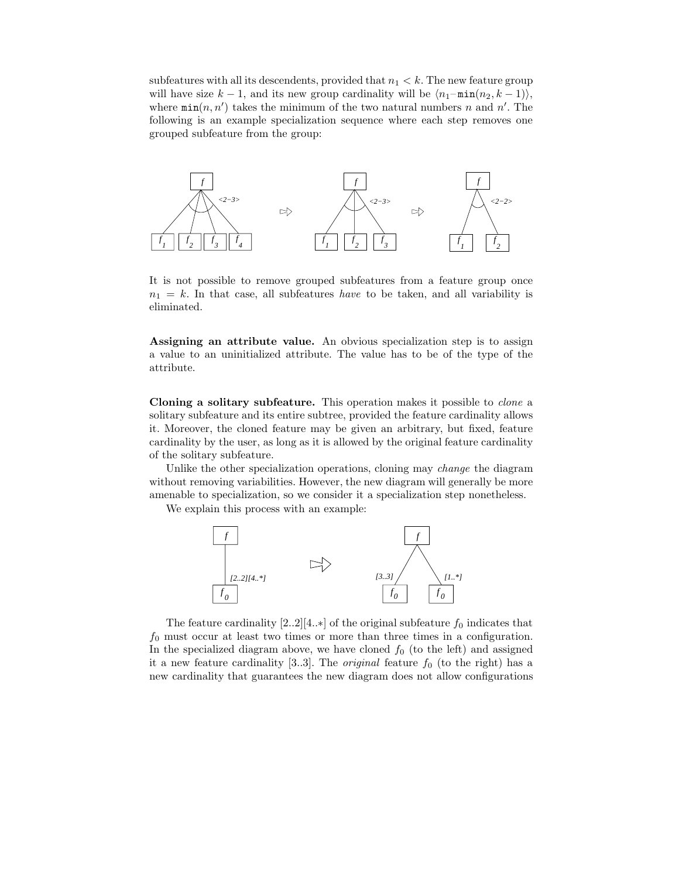subfeatures with all its descendents, provided that  $n_1 < k$ . The new feature group will have size  $k - 1$ , and its new group cardinality will be  $\langle n_1 - \min(n_2, k - 1) \rangle$ , where  $\min(n, n')$  takes the minimum of the two natural numbers n and n'. The following is an example specialization sequence where each step removes one grouped subfeature from the group:



It is not possible to remove grouped subfeatures from a feature group once  $n_1 = k$ . In that case, all subfeatures *have* to be taken, and all variability is eliminated.

**Assigning an attribute value.** An obvious specialization step is to assign a value to an uninitialized attribute. The value has to be of the type of the attribute.

**Cloning a solitary subfeature.** This operation makes it possible to *clone* a solitary subfeature and its entire subtree, provided the feature cardinality allows it. Moreover, the cloned feature may be given an arbitrary, but fixed, feature cardinality by the user, as long as it is allowed by the original feature cardinality of the solitary subfeature.

Unlike the other specialization operations, cloning may *change* the diagram without removing variabilities. However, the new diagram will generally be more amenable to specialization, so we consider it a specialization step nonetheless.

We explain this process with an example:



The feature cardinality  $[2..2][4..*]$  of the original subfeature  $f_0$  indicates that  $f_0$  must occur at least two times or more than three times in a configuration. In the specialized diagram above, we have cloned  $f_0$  (to the left) and assigned it a new feature cardinality  $[3..3]$ . The *original* feature  $f_0$  (to the right) has a new cardinality that guarantees the new diagram does not allow configurations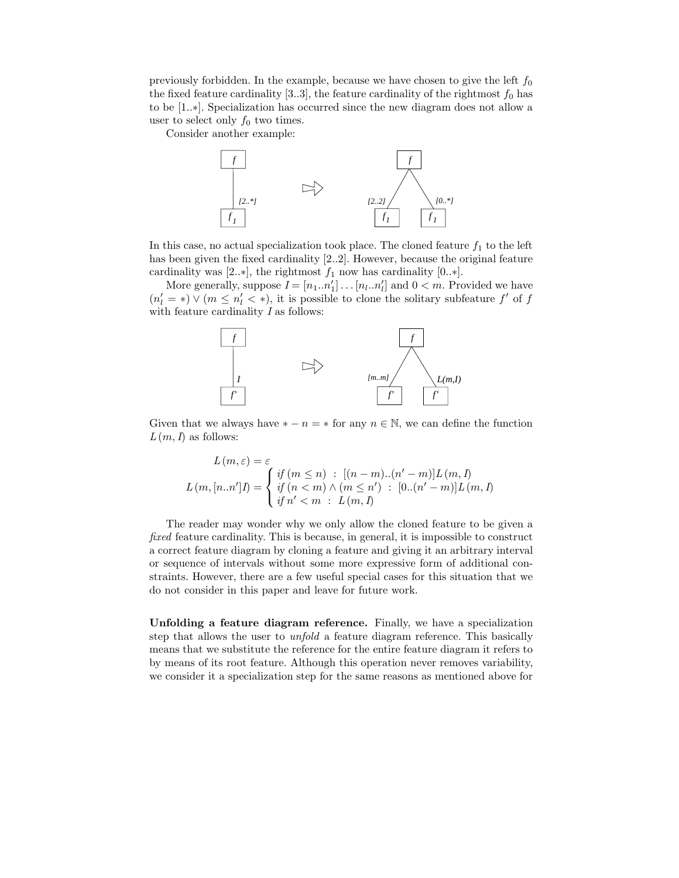previously forbidden. In the example, because we have chosen to give the left  $f_0$ the fixed feature cardinality [3..3], the feature cardinality of the rightmost  $f_0$  has to be [1..∗]. Specialization has occurred since the new diagram does not allow a user to select only  $f_0$  two times.

Consider another example:



In this case, no actual specialization took place. The cloned feature  $f_1$  to the left has been given the fixed cardinality [2..2]. However, because the original feature cardinality was [2..\*], the rightmost  $f_1$  now has cardinality [0..\*].

More generally, suppose  $I = [n_1..n'_1] \dots [n_l..n'_l]$  and  $0 < m$ . Provided we have  $(n'_l = *) \vee (m \leq n'_l < *)$ , it is possible to clone the solitary subfeature f' of f with feature cardinality *I* as follows:



Given that we always have  $* - n = *$  for any  $n \in \mathbb{N}$ , we can define the function  $L(m, I)$  as follows:

$$
L(m,\varepsilon) = \varepsilon
$$
  
\n
$$
L(m,[n..n']I) = \begin{cases} if (m \le n) : [(n-m)...(n'-m)]L(m,I) \\ if (n < m) \land (m \le n') : [0...(n'-m)]L(m,I) \\ if n' < m : L(m,I) \end{cases}
$$

The reader may wonder why we only allow the cloned feature to be given a *fixed* feature cardinality. This is because, in general, it is impossible to construct a correct feature diagram by cloning a feature and giving it an arbitrary interval or sequence of intervals without some more expressive form of additional constraints. However, there are a few useful special cases for this situation that we do not consider in this paper and leave for future work.

**Unfolding a feature diagram reference.** Finally, we have a specialization step that allows the user to *unfold* a feature diagram reference. This basically means that we substitute the reference for the entire feature diagram it refers to by means of its root feature. Although this operation never removes variability, we consider it a specialization step for the same reasons as mentioned above for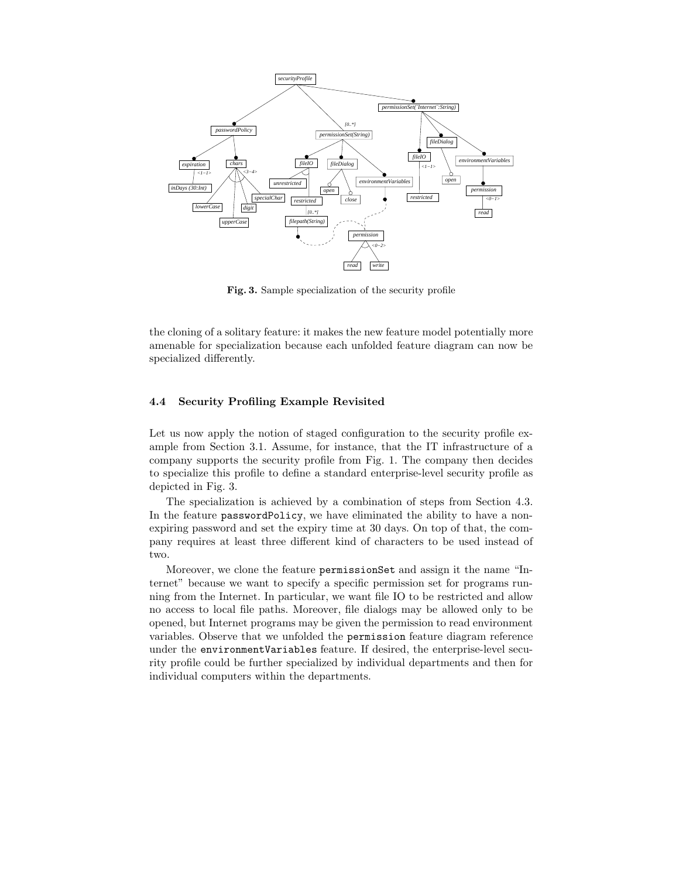

**Fig. 3.** Sample specialization of the security profile

the cloning of a solitary feature: it makes the new feature model potentially more amenable for specialization because each unfolded feature diagram can now be specialized differently.

# **4.4 Security Profiling Example Revisited**

Let us now apply the notion of staged configuration to the security profile example from Section 3.1. Assume, for instance, that the IT infrastructure of a company supports the security profile from Fig. 1. The company then decides to specialize this profile to define a standard enterprise-level security profile as depicted in Fig. 3.

The specialization is achieved by a combination of steps from Section 4.3. In the feature passwordPolicy, we have eliminated the ability to have a nonexpiring password and set the expiry time at 30 days. On top of that, the company requires at least three different kind of characters to be used instead of two.

Moreover, we clone the feature permissionSet and assign it the name "Internet" because we want to specify a specific permission set for programs running from the Internet. In particular, we want file IO to be restricted and allow no access to local file paths. Moreover, file dialogs may be allowed only to be opened, but Internet programs may be given the permission to read environment variables. Observe that we unfolded the permission feature diagram reference under the environmentVariables feature. If desired, the enterprise-level security profile could be further specialized by individual departments and then for individual computers within the departments.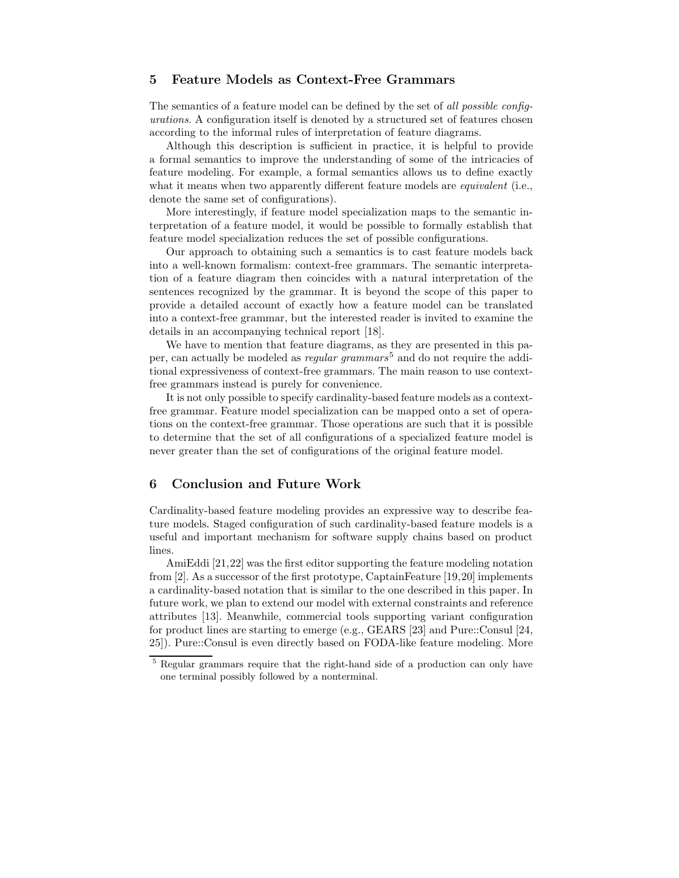# **5 Feature Models as Context-Free Grammars**

The semantics of a feature model can be defined by the set of *all possible configurations*. A configuration itself is denoted by a structured set of features chosen according to the informal rules of interpretation of feature diagrams.

Although this description is sufficient in practice, it is helpful to provide a formal semantics to improve the understanding of some of the intricacies of feature modeling. For example, a formal semantics allows us to define exactly what it means when two apparently different feature models are *equivalent* (i.e., denote the same set of configurations).

More interestingly, if feature model specialization maps to the semantic interpretation of a feature model, it would be possible to formally establish that feature model specialization reduces the set of possible configurations.

Our approach to obtaining such a semantics is to cast feature models back into a well-known formalism: context-free grammars. The semantic interpretation of a feature diagram then coincides with a natural interpretation of the sentences recognized by the grammar. It is beyond the scope of this paper to provide a detailed account of exactly how a feature model can be translated into a context-free grammar, but the interested reader is invited to examine the details in an accompanying technical report [18].

We have to mention that feature diagrams, as they are presented in this paper, can actually be modeled as *regular grammars*<sup>5</sup> and do not require the additional expressiveness of context-free grammars. The main reason to use contextfree grammars instead is purely for convenience.

It is not only possible to specify cardinality-based feature models as a contextfree grammar. Feature model specialization can be mapped onto a set of operations on the context-free grammar. Those operations are such that it is possible to determine that the set of all configurations of a specialized feature model is never greater than the set of configurations of the original feature model.

# **6 Conclusion and Future Work**

Cardinality-based feature modeling provides an expressive way to describe feature models. Staged configuration of such cardinality-based feature models is a useful and important mechanism for software supply chains based on product lines.

AmiEddi [21,22] was the first editor supporting the feature modeling notation from [2]. As a successor of the first prototype, CaptainFeature [19,20] implements a cardinality-based notation that is similar to the one described in this paper. In future work, we plan to extend our model with external constraints and reference attributes [13]. Meanwhile, commercial tools supporting variant configuration for product lines are starting to emerge (e.g., GEARS [23] and Pure::Consul [24, 25]). Pure::Consul is even directly based on FODA-like feature modeling. More

<sup>5</sup> Regular grammars require that the right-hand side of a production can only have one terminal possibly followed by a nonterminal.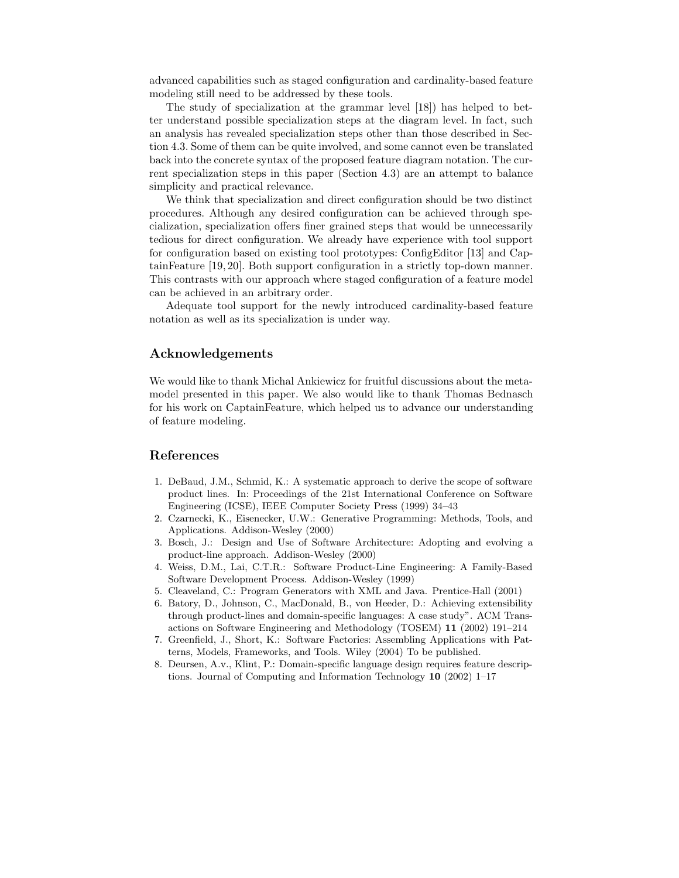advanced capabilities such as staged configuration and cardinality-based feature modeling still need to be addressed by these tools.

The study of specialization at the grammar level [18]) has helped to better understand possible specialization steps at the diagram level. In fact, such an analysis has revealed specialization steps other than those described in Section 4.3. Some of them can be quite involved, and some cannot even be translated back into the concrete syntax of the proposed feature diagram notation. The current specialization steps in this paper (Section 4.3) are an attempt to balance simplicity and practical relevance.

We think that specialization and direct configuration should be two distinct procedures. Although any desired configuration can be achieved through specialization, specialization offers finer grained steps that would be unnecessarily tedious for direct configuration. We already have experience with tool support for configuration based on existing tool prototypes: ConfigEditor [13] and CaptainFeature [19, 20]. Both support configuration in a strictly top-down manner. This contrasts with our approach where staged configuration of a feature model can be achieved in an arbitrary order.

Adequate tool support for the newly introduced cardinality-based feature notation as well as its specialization is under way.

### **Acknowledgements**

We would like to thank Michal Ankiewicz for fruitful discussions about the metamodel presented in this paper. We also would like to thank Thomas Bednasch for his work on CaptainFeature, which helped us to advance our understanding of feature modeling.

# **References**

- 1. DeBaud, J.M., Schmid, K.: A systematic approach to derive the scope of software product lines. In: Proceedings of the 21st International Conference on Software Engineering (ICSE), IEEE Computer Society Press (1999) 34–43
- 2. Czarnecki, K., Eisenecker, U.W.: Generative Programming: Methods, Tools, and Applications. Addison-Wesley (2000)
- 3. Bosch, J.: Design and Use of Software Architecture: Adopting and evolving a product-line approach. Addison-Wesley (2000)
- 4. Weiss, D.M., Lai, C.T.R.: Software Product-Line Engineering: A Family-Based Software Development Process. Addison-Wesley (1999)
- 5. Cleaveland, C.: Program Generators with XML and Java. Prentice-Hall (2001)
- 6. Batory, D., Johnson, C., MacDonald, B., von Heeder, D.: Achieving extensibility through product-lines and domain-specific languages: A case study". ACM Transactions on Software Engineering and Methodology (TOSEM) **11** (2002) 191–214
- 7. Greenfield, J., Short, K.: Software Factories: Assembling Applications with Patterns, Models, Frameworks, and Tools. Wiley (2004) To be published.
- 8. Deursen, A.v., Klint, P.: Domain-specific language design requires feature descriptions. Journal of Computing and Information Technology **10** (2002) 1–17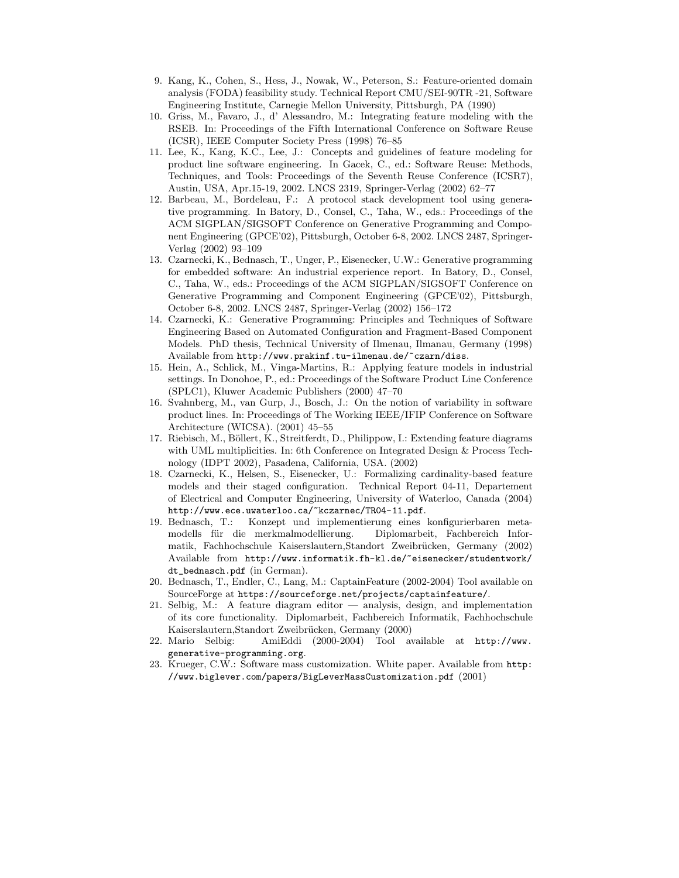- 9. Kang, K., Cohen, S., Hess, J., Nowak, W., Peterson, S.: Feature-oriented domain analysis (FODA) feasibility study. Technical Report CMU/SEI-90TR -21, Software Engineering Institute, Carnegie Mellon University, Pittsburgh, PA (1990)
- 10. Griss, M., Favaro, J., d' Alessandro, M.: Integrating feature modeling with the RSEB. In: Proceedings of the Fifth International Conference on Software Reuse (ICSR), IEEE Computer Society Press (1998) 76–85
- 11. Lee, K., Kang, K.C., Lee, J.: Concepts and guidelines of feature modeling for product line software engineering. In Gacek, C., ed.: Software Reuse: Methods, Techniques, and Tools: Proceedings of the Seventh Reuse Conference (ICSR7), Austin, USA, Apr.15-19, 2002. LNCS 2319, Springer-Verlag (2002) 62–77
- 12. Barbeau, M., Bordeleau, F.: A protocol stack development tool using generative programming. In Batory, D., Consel, C., Taha, W., eds.: Proceedings of the ACM SIGPLAN/SIGSOFT Conference on Generative Programming and Component Engineering (GPCE'02), Pittsburgh, October 6-8, 2002. LNCS 2487, Springer-Verlag (2002) 93–109
- 13. Czarnecki, K., Bednasch, T., Unger, P., Eisenecker, U.W.: Generative programming for embedded software: An industrial experience report. In Batory, D., Consel, C., Taha, W., eds.: Proceedings of the ACM SIGPLAN/SIGSOFT Conference on Generative Programming and Component Engineering (GPCE'02), Pittsburgh, October 6-8, 2002. LNCS 2487, Springer-Verlag (2002) 156–172
- 14. Czarnecki, K.: Generative Programming: Principles and Techniques of Software Engineering Based on Automated Configuration and Fragment-Based Component Models. PhD thesis, Technical University of Ilmenau, Ilmanau, Germany (1998) Available from http://www.prakinf.tu-ilmenau.de/~czarn/diss.
- 15. Hein, A., Schlick, M., Vinga-Martins, R.: Applying feature models in industrial settings. In Donohoe, P., ed.: Proceedings of the Software Product Line Conference (SPLC1), Kluwer Academic Publishers (2000) 47–70
- 16. Svahnberg, M., van Gurp, J., Bosch, J.: On the notion of variability in software product lines. In: Proceedings of The Working IEEE/IFIP Conference on Software Architecture (WICSA). (2001) 45–55
- 17. Riebisch, M., Böllert, K., Streitferdt, D., Philippow, I.: Extending feature diagrams with UML multiplicities. In: 6th Conference on Integrated Design & Process Technology (IDPT 2002), Pasadena, California, USA. (2002)
- 18. Czarnecki, K., Helsen, S., Eisenecker, U.: Formalizing cardinality-based feature models and their staged configuration. Technical Report 04-11, Departement of Electrical and Computer Engineering, University of Waterloo, Canada (2004) http://www.ece.uwaterloo.ca/~kczarnec/TR04-11.pdf.
- 19. Bednasch, T.: Konzept und implementierung eines konfigurierbaren metamodells für die merkmalmodellierung. Diplomarbeit, Fachbereich Informatik, Fachhochschule Kaiserslautern, Standort Zweibrücken, Germany (2002) Available from http://www.informatik.fh-kl.de/~eisenecker/studentwork/ dt\_bednasch.pdf (in German).
- 20. Bednasch, T., Endler, C., Lang, M.: CaptainFeature (2002-2004) Tool available on SourceForge at https://sourceforge.net/projects/captainfeature/.
- 21. Selbig, M.: A feature diagram editor analysis, design, and implementation of its core functionality. Diplomarbeit, Fachbereich Informatik, Fachhochschule Kaiserslautern, Standort Zweibrücken, Germany (2000)
- 22. Mario Selbig: AmiEddi (2000-2004) Tool available at http://www. generative-programming.org.
- 23. Krueger, C.W.: Software mass customization. White paper. Available from http: //www.biglever.com/papers/BigLeverMassCustomization.pdf (2001)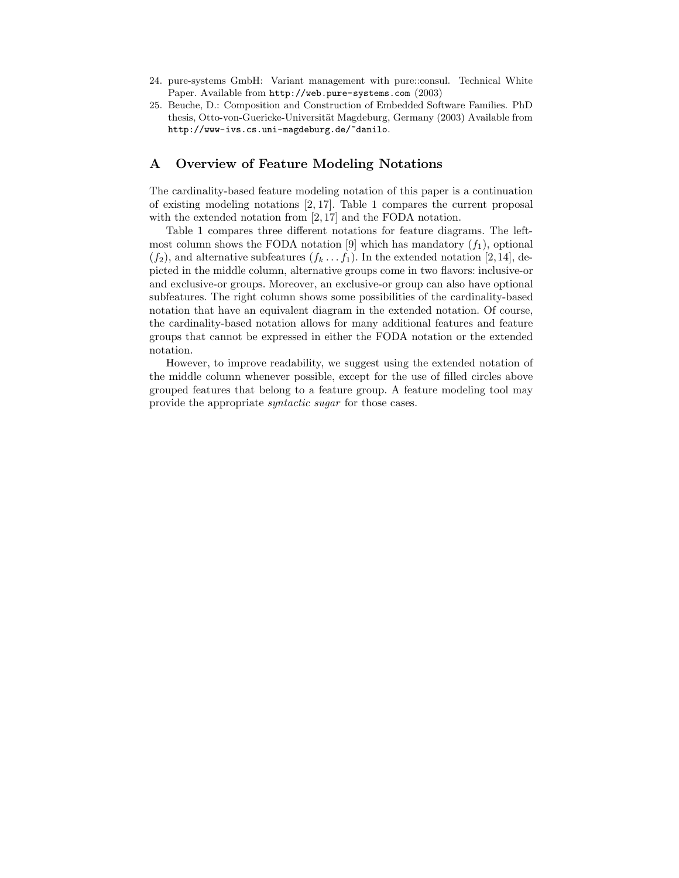- 24. pure-systems GmbH: Variant management with pure::consul. Technical White Paper. Available from http://web.pure-systems.com (2003)
- 25. Beuche, D.: Composition and Construction of Embedded Software Families. PhD thesis, Otto-von-Guericke-Universität Magdeburg, Germany (2003) Available from http://www-ivs.cs.uni-magdeburg.de/~danilo.

# **A Overview of Feature Modeling Notations**

The cardinality-based feature modeling notation of this paper is a continuation of existing modeling notations [2, 17]. Table 1 compares the current proposal with the extended notation from [2, 17] and the FODA notation.

Table 1 compares three different notations for feature diagrams. The leftmost column shows the FODA notation [9] which has mandatory  $(f_1)$ , optional  $(f_2)$ , and alternative subfeatures  $(f_k \tcdot \tcdot f_1)$ . In the extended notation [2,14], depicted in the middle column, alternative groups come in two flavors: inclusive-or and exclusive-or groups. Moreover, an exclusive-or group can also have optional subfeatures. The right column shows some possibilities of the cardinality-based notation that have an equivalent diagram in the extended notation. Of course, the cardinality-based notation allows for many additional features and feature groups that cannot be expressed in either the FODA notation or the extended notation.

However, to improve readability, we suggest using the extended notation of the middle column whenever possible, except for the use of filled circles above grouped features that belong to a feature group. A feature modeling tool may provide the appropriate *syntactic sugar* for those cases.